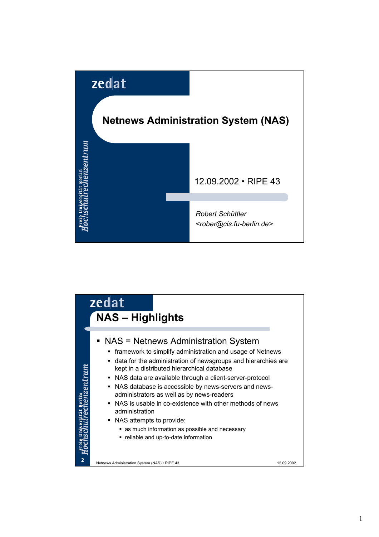

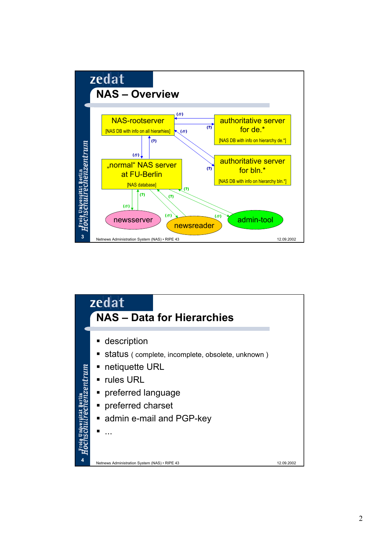

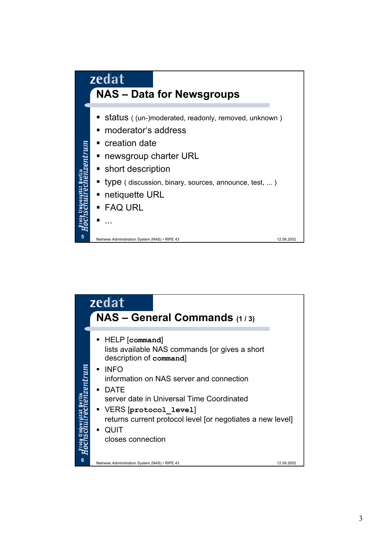

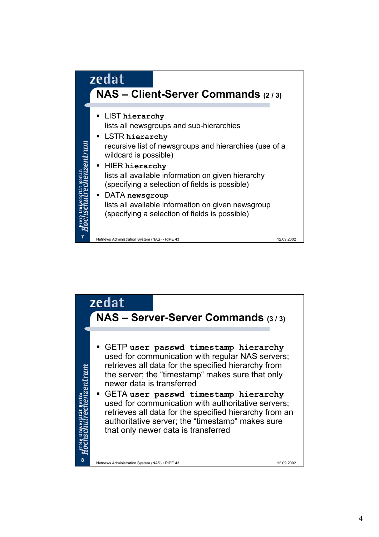

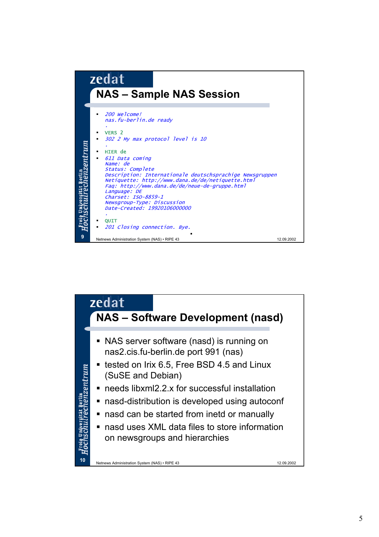

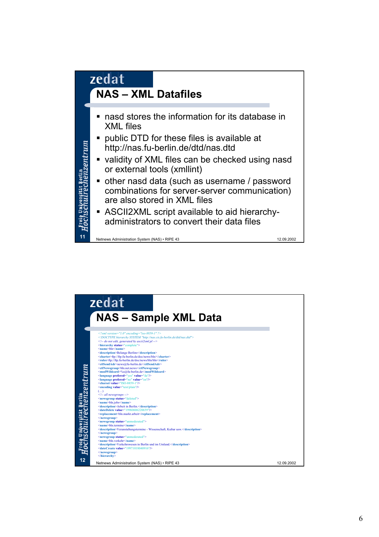

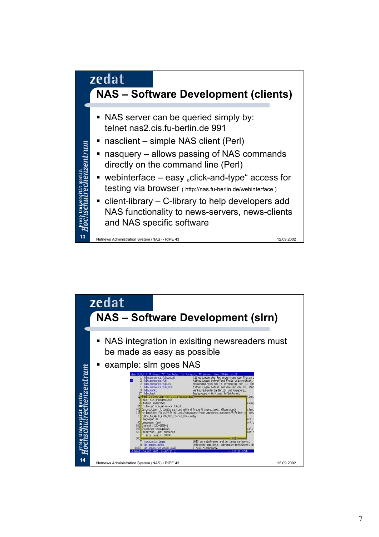